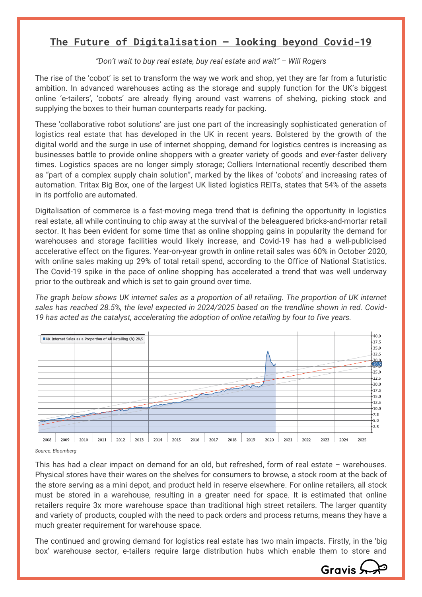## **The Future of Digitalisation – looking beyond Covid-19**

*"Don't wait to buy real estate, buy real estate and wait" – Will Rogers*

The rise of the 'cobot' is set to transform the way we work and shop, yet they are far from a futuristic ambition. In advanced warehouses acting as the storage and supply function for the UK's biggest online 'e-tailers', 'cobots' are already flying around vast warrens of shelving, picking stock and supplying the boxes to their human counterparts ready for packing.

These 'collaborative robot solutions' are just one part of the increasingly sophisticated generation of logistics real estate that has developed in the UK in recent years. Bolstered by the growth of the digital world and the surge in use of internet shopping, demand for logistics centres is increasing as businesses battle to provide online shoppers with a greater variety of goods and ever-faster delivery times. Logistics spaces are no longer simply storage; Colliers International recently described them as "part of a complex supply chain solution", marked by the likes of 'cobots' and increasing rates of automation. Tritax Big Box, one of the largest UK listed logistics REITs, states that 54% of the assets in its portfolio are automated.

Digitalisation of commerce is a fast-moving mega trend that is defining the opportunity in logistics real estate, all while continuing to chip away at the survival of the beleaguered bricks-and-mortar retail sector. It has been evident for some time that as online shopping gains in popularity the demand for warehouses and storage facilities would likely increase, and Covid-19 has had a well-publicised accelerative effect on the figures. Year-on-year growth in online retail sales was 60% in October 2020, with online sales making up 29% of total retail spend, according to the Office of National Statistics. The Covid-19 spike in the pace of online shopping has accelerated a trend that was well underway prior to the outbreak and which is set to gain ground over time.

*The graph below shows UK internet sales as a proportion of all retailing. The proportion of UK internet sales has reached 28.5%, the level expected in 2024/2025 based on the trendline shown in red. Covid-19 has acted as the catalyst, accelerating the adoption of online retailing by four to five years.* 



*Source: Bloomberg*

This has had a clear impact on demand for an old, but refreshed, form of real estate – warehouses. Physical stores have their wares on the shelves for consumers to browse, a stock room at the back of the store serving as a mini depot, and product held in reserve elsewhere. For online retailers, all stock must be stored in a warehouse, resulting in a greater need for space. It is estimated that online retailers require 3x more warehouse space than traditional high street retailers. The larger quantity and variety of products, coupled with the need to pack orders and process returns, means they have a much greater requirement for warehouse space.

The continued and growing demand for logistics real estate has two main impacts. Firstly, in the 'big box' warehouse sector, e-tailers require large distribution hubs which enable them to store and

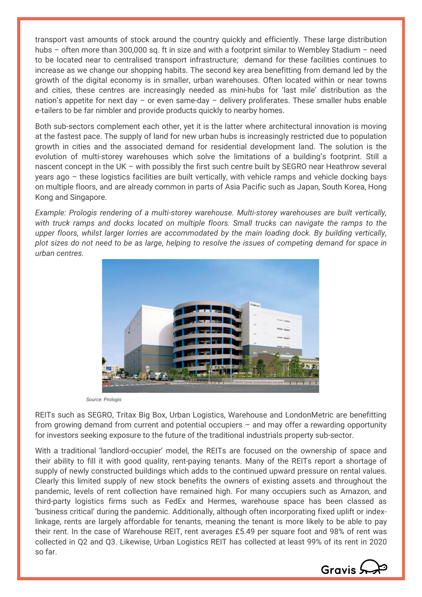transport vast amounts of stock around the country quickly and efficiently. These large distribution hubs – often more than 300,000 sq. ft in size and with a footprint similar to Wembley Stadium – need to be located near to centralised transport infrastructure; demand for these facilities continues to increase as we change our shopping habits. The second key area benefitting from demand led by the growth of the digital economy is in smaller, urban warehouses. Often located within or near towns and cities, these centres are increasingly needed as mini-hubs for 'last mile' distribution as the nation's appetite for next day – or even same-day – delivery proliferates. These smaller hubs enable e-tailers to be far nimbler and provide products quickly to nearby homes.

Both sub-sectors complement each other, yet it is the latter where architectural innovation is moving at the fastest pace. The supply of land for new urban hubs is increasingly restricted due to population growth in cities and the associated demand for residential development land. The solution is the evolution of multi-storey warehouses which solve the limitations of a building's footprint. Still a nascent concept in the UK – with possibly the first such centre built by SEGRO near Heathrow several years ago – these logistics facilities are built vertically, with vehicle ramps and vehicle docking bays on multiple floors, and are already common in parts of Asia Pacific such as Japan, South Korea, Hong Kong and Singapore.

*Example: Prologis rendering of a multi-storey warehouse. Multi-storey warehouses are built vertically, with truck ramps and docks located on multiple floors. Small trucks can navigate the ramps to the upper floors, whilst larger lorries are accommodated by the main loading dock. By building vertically, plot sizes do not need to be as large, helping to resolve the issues of competing demand for space in urban centres.* 



*Source: Prologis*

REITs such as SEGRO, Tritax Big Box, Urban Logistics, Warehouse and LondonMetric are benefitting from growing demand from current and potential occupiers – and may offer a rewarding opportunity for investors seeking exposure to the future of the traditional industrials property sub-sector.

With a traditional 'landlord-occupier' model, the REITs are focused on the ownership of space and their ability to fill it with good quality, rent-paying tenants. Many of the REITs report a shortage of supply of newly constructed buildings which adds to the continued upward pressure on rental values. Clearly this limited supply of new stock benefits the owners of existing assets and throughout the pandemic, levels of rent collection have remained high. For many occupiers such as Amazon, and third-party logistics firms such as FedEx and Hermes, warehouse space has been classed as 'business critical' during the pandemic. Additionally, although often incorporating fixed uplift or indexlinkage, rents are largely affordable for tenants, meaning the tenant is more likely to be able to pay their rent. In the case of Warehouse REIT, rent averages £5.49 per square foot and 98% of rent was collected in Q2 and Q3. Likewise, Urban Logistics REIT has collected at least 99% of its rent in 2020 so far.